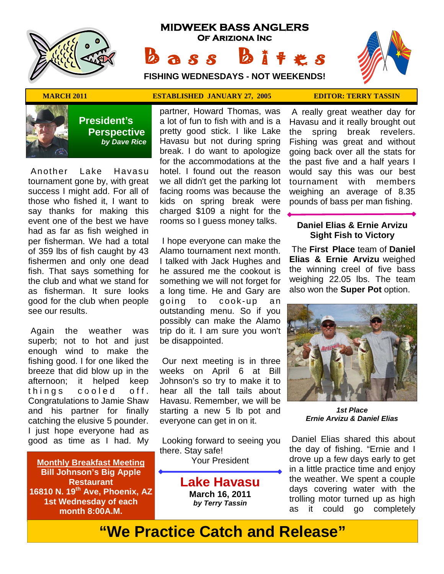

# **MIDWEEK BASS ANGLERS Of Ariziona Inc** Bass Bites

**FISHING WEDNESDAYS - NOT WEEKENDS!**





 **President's Perspective**   *by Dave Rice*

 Another Lake Havasu tournament gone by, with great success I might add. For all of those who fished it, I want to say thanks for making this event one of the best we have had as far as fish weighed in per fisherman. We had a total of 359 lbs of fish caught by 43 fishermen and only one dead fish. That says something for the club and what we stand for as fisherman. It sure looks good for the club when people see our results.

 Again the weather was superb; not to hot and just enough wind to make the fishing good. I for one liked the breeze that did blow up in the afternoon; it helped keep things cooled off. Congratulations to Jamie Shaw and his partner for finally catching the elusive 5 pounder. I just hope everyone had as good as time as I had. My

**Monthly Breakfast Meeting Bill Johnson's Big Apple Restaurant 16810 N. 19th Ave, Phoenix, AZ 1st Wednesday of each month 8:00A.M.** 

## **MARCH 2011 ESTABLISHED JANUARY 27, 2005 EDITOR: TERRY TASSIN**

partner, Howard Thomas, was a lot of fun to fish with and is a pretty good stick. I like Lake Havasu but not during spring break. I do want to apologize for the accommodations at the hotel. I found out the reason we all didn't get the parking lot facing rooms was because the kids on spring break were charged \$109 a night for the rooms so I guess money talks.

 I hope everyone can make the Alamo tournament next month. I talked with Jack Hughes and he assured me the cookout is something we will not forget for a long time. He and Gary are going to cook-up an outstanding menu. So if you possibly can make the Alamo trip do it. I am sure you won't be disappointed.

 Our next meeting is in three weeks on April 6 at Bill Johnson's so try to make it to hear all the tall tails about Havasu. Remember, we will be starting a new 5 lb pot and everyone can get in on it.

 Looking forward to seeing you there. Stay safe! Your President

> **Lake Havasu March 16, 2011**  *by Terry Tassin*

 A really great weather day for Havasu and it really brought out the spring break revelers. Fishing was great and without going back over all the stats for the past five and a half years I would say this was our best tournament with members weighing an average of 8.35 pounds of bass per man fishing.

## **Daniel Elias & Ernie Arvizu Sight Fish to Victory**

 The **First Place** team of **Daniel Elias & Ernie Arvizu** weighed the winning creel of five bass weighing 22.05 lbs. The team also won the **Super Pot** option.



*1st Place Ernie Arvizu & Daniel Elias* 

 Daniel Elias shared this about the day of fishing. "Ernie and I drove up a few days early to get in a little practice time and enjoy the weather. We spent a couple days covering water with the trolling motor turned up as high as it could go completely

# **"We Practice Catch and Release"**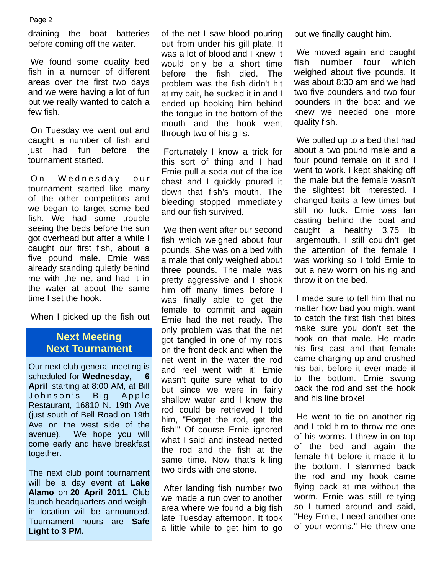draining the boat batteries before coming off the water.

 We found some quality bed fish in a number of different areas over the first two days and we were having a lot of fun but we really wanted to catch a few fish.

 On Tuesday we went out and caught a number of fish and just had fun before the tournament started.

On Wednesday our tournament started like many of the other competitors and we began to target some bed fish. We had some trouble seeing the beds before the sun got overhead but after a while I caught our first fish, about a five pound male. Ernie was already standing quietly behind me with the net and had it in the water at about the same time I set the hook.

When I picked up the fish out

# **Next Meeting Next Tournament**

Our next club general meeting is scheduled for **Wednesday**. **April** starting at 8:00 AM, at Bill Johnson's Big Apple Restaurant, 16810 N. 19th Ave (just south of Bell Road on 19th Ave on the west side of the avenue). We hope you will come early and have breakfast together.

The next club point tournament will be a day event at **Lake Alamo** on **20 April 2011.** Club launch headquarters and weighin location will be announced. Tournament hours are **Safe Light to 3 PM.**

of the net I saw blood pouring out from under his gill plate. It was a lot of blood and I knew it would only be a short time before the fish died. The problem was the fish didn't hit at my bait, he sucked it in and I ended up hooking him behind the tongue in the bottom of the mouth and the hook went through two of his gills.

 Fortunately I know a trick for this sort of thing and I had Ernie pull a soda out of the ice chest and I quickly poured it down that fish's mouth. The bleeding stopped immediately and our fish survived.

 We then went after our second fish which weighed about four pounds. She was on a bed with a male that only weighed about three pounds. The male was pretty aggressive and I shook him off many times before I was finally able to get the female to commit and again Ernie had the net ready. The only problem was that the net got tangled in one of my rods on the front deck and when the net went in the water the rod and reel went with it! Ernie wasn't quite sure what to do but since we were in fairly shallow water and I knew the rod could be retrieved I told him, "Forget the rod, get the fish!" Of course Ernie ignored what I said and instead netted the rod and the fish at the same time. Now that's killing two birds with one stone.

 After landing fish number two we made a run over to another area where we found a big fish late Tuesday afternoon. It took a little while to get him to go but we finally caught him.

 We moved again and caught fish number four which weighed about five pounds. It was about 8:30 am and we had two five pounders and two four pounders in the boat and we knew we needed one more quality fish.

 We pulled up to a bed that had about a two pound male and a four pound female on it and I went to work. I kept shaking off the male but the female wasn't the slightest bit interested. I changed baits a few times but still no luck. Ernie was fan casting behind the boat and caught a healthy 3.75 lb largemouth. I still couldn't get the attention of the female I was working so I told Ernie to put a new worm on his rig and throw it on the bed.

 I made sure to tell him that no matter how bad you might want to catch the first fish that bites make sure you don't set the hook on that male. He made his first cast and that female came charging up and crushed his bait before it ever made it to the bottom. Ernie swung back the rod and set the hook and his line broke!

 He went to tie on another rig and I told him to throw me one of his worms. I threw in on top of the bed and again the female hit before it made it to the bottom. I slammed back the rod and my hook came flying back at me without the worm. Ernie was still re-tying so I turned around and said, "Hey Ernie, I need another one of your worms." He threw one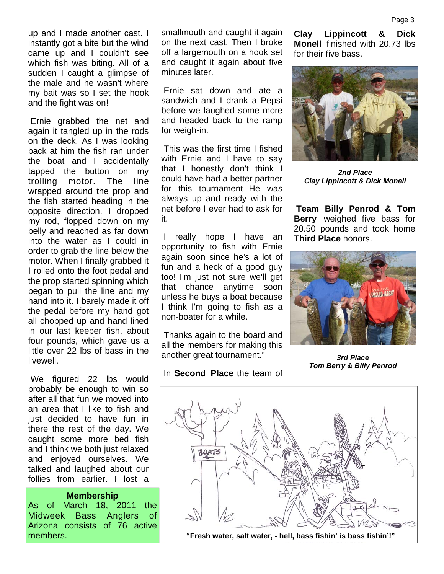up and I made another cast. I instantly got a bite but the wind came up and I couldn't see which fish was biting. All of a sudden I caught a glimpse of the male and he wasn't where my bait was so I set the hook and the fight was on!

 Ernie grabbed the net and again it tangled up in the rods on the deck. As I was looking back at him the fish ran under the boat and I accidentally tapped the button on my trolling motor. The line wrapped around the prop and the fish started heading in the opposite direction. I dropped my rod, flopped down on my belly and reached as far down into the water as I could in order to grab the line below the motor. When I finally grabbed it I rolled onto the foot pedal and the prop started spinning which began to pull the line and my hand into it. I barely made it off the pedal before my hand got all chopped up and hand lined in our last keeper fish, about four pounds, which gave us a little over 22 lbs of bass in the livewell.

 We figured 22 lbs would probably be enough to win so after all that fun we moved into an area that I like to fish and just decided to have fun in there the rest of the day. We caught some more bed fish and I think we both just relaxed and enjoyed ourselves. We talked and laughed about our follies from earlier. I lost a

#### **Membership**

As of March 18, 2011 the Midweek Bass Anglers of Arizona consists of 76 active

smallmouth and caught it again on the next cast. Then I broke off a largemouth on a hook set and caught it again about five minutes later.

 Ernie sat down and ate a sandwich and I drank a Pepsi before we laughed some more and headed back to the ramp for weigh-in.

 This was the first time I fished with Ernie and I have to say that I honestly don't think I could have had a better partner for this tournament. He was always up and ready with the net before I ever had to ask for it.

really hope I have an opportunity to fish with Ernie again soon since he's a lot of fun and a heck of a good guy too! I'm just not sure we'll get that chance anytime soon unless he buys a boat because I think I'm going to fish as a non-boater for a while.

 Thanks again to the board and all the members for making this another great tournament."

### In **Second Place** the team of

**Clay Lippincott & Dick Monell** finished with 20.73 lbs for their five bass.



*2nd Place Clay Lippincott & Dick Monell*

**Team Billy Penrod & Tom Berry** weighed five bass for 20.50 pounds and took home **Third Place** honors.



*3rd Place Tom Berry & Billy Penrod* 

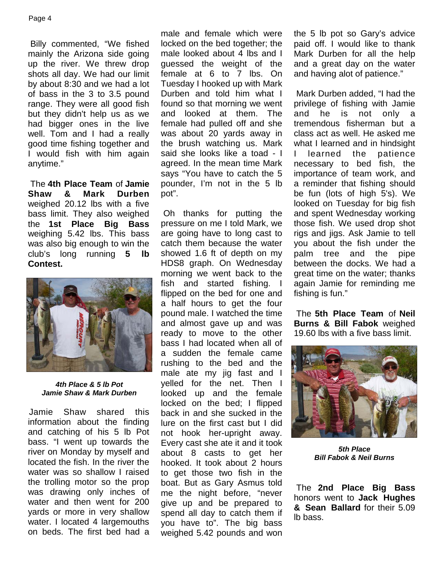Billy commented, "We fished mainly the Arizona side going up the river. We threw drop shots all day. We had our limit by about 8:30 and we had a lot of bass in the 3 to 3.5 pound range. They were all good fish but they didn't help us as we had bigger ones in the live well. Tom and I had a really good time fishing together and I would fish with him again anytime."

 The **4th Place Team** of **Jamie Shaw & Mark Durben**  weighed 20.12 lbs with a five bass limit. They also weighed the **1st Place Big Bass**  weighing 5.42 lbs. This bass was also big enough to win the club's long running **5 lb Contest.** 



*4th Place & 5 lb Pot Jamie Shaw & Mark Durben* 

Jamie Shaw shared this information about the finding and catching of his 5 lb Pot bass. "I went up towards the river on Monday by myself and located the fish. In the river the water was so shallow I raised the trolling motor so the prop was drawing only inches of water and then went for 200 yards or more in very shallow water. I located 4 largemouths on beds. The first bed had a male and female which were locked on the bed together; the male looked about 4 lbs and I guessed the weight of the female at 6 to 7 lbs. On Tuesday I hooked up with Mark Durben and told him what I found so that morning we went and looked at them. The female had pulled off and she was about 20 yards away in the brush watching us. Mark said she looks like a toad - I agreed. In the mean time Mark says "You have to catch the 5 pounder, I'm not in the 5 lb pot".

 Oh thanks for putting the pressure on me I told Mark, we are going have to long cast to catch them because the water showed 1.6 ft of depth on my HDS8 graph. On Wednesday morning we went back to the fish and started fishing. I flipped on the bed for one and a half hours to get the four pound male. I watched the time and almost gave up and was ready to move to the other bass I had located when all of a sudden the female came rushing to the bed and the male ate my jig fast and I yelled for the net. Then I looked up and the female locked on the bed; I flipped back in and she sucked in the lure on the first cast but I did not hook her-upright away. Every cast she ate it and it took about 8 casts to get her hooked. It took about 2 hours to get those two fish in the boat. But as Gary Asmus told me the night before, "never give up and be prepared to spend all day to catch them if you have to". The big bass weighed 5.42 pounds and won

the 5 lb pot so Gary's advice paid off. I would like to thank Mark Durben for all the help and a great day on the water and having alot of patience."

 Mark Durben added, "I had the privilege of fishing with Jamie and he is not only a tremendous fisherman but a class act as well. He asked me what I learned and in hindsight I learned the patience necessary to bed fish, the importance of team work, and a reminder that fishing should be fun (lots of high 5's). We looked on Tuesday for big fish and spent Wednesday working those fish. We used drop shot rigs and jigs. Ask Jamie to tell you about the fish under the palm tree and the pipe between the docks. We had a great time on the water; thanks again Jamie for reminding me fishing is fun."

 The **5th Place Team** of **Neil Burns & Bill Fabok** weighed 19.60 lbs with a five bass limit.



*5th Place Bill Fabok & Neil Burns* 

 The **2nd Place Big Bass**  honors went to **Jack Hughes & Sean Ballard** for their 5.09 lb bass.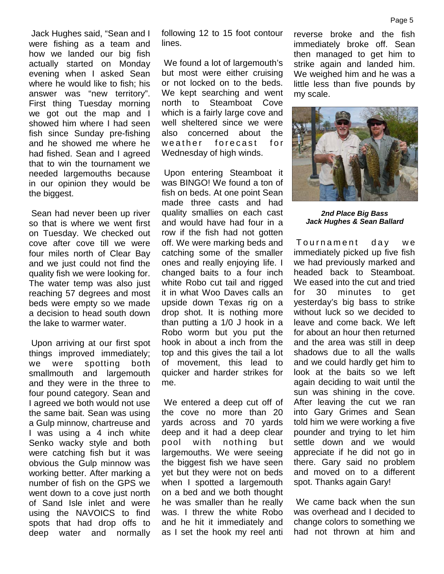Jack Hughes said, "Sean and I were fishing as a team and how we landed our big fish actually started on Monday evening when I asked Sean where he would like to fish; his answer was "new territory". First thing Tuesday morning we got out the map and I showed him where I had seen fish since Sunday pre-fishing and he showed me where he had fished. Sean and I agreed that to win the tournament we needed largemouths because in our opinion they would be the biggest.

 Sean had never been up river so that is where we went first on Tuesday. We checked out cove after cove till we were four miles north of Clear Bay and we just could not find the quality fish we were looking for. The water temp was also just reaching 57 degrees and most beds were empty so we made a decision to head south down the lake to warmer water.

 Upon arriving at our first spot things improved immediately; we were spotting both smallmouth and largemouth and they were in the three to four pound category. Sean and I agreed we both would not use the same bait. Sean was using a Gulp minnow, chartreuse and I was using a 4 inch white Senko wacky style and both were catching fish but it was obvious the Gulp minnow was working better. After marking a number of fish on the GPS we went down to a cove just north of Sand Isle inlet and were using the NAVOICS to find spots that had drop offs to deep water and normally following 12 to 15 foot contour lines.

 We found a lot of largemouth's but most were either cruising or not locked on to the beds. We kept searching and went north to Steamboat Cove which is a fairly large cove and well sheltered since we were also concerned about the weather forecast for Wednesday of high winds.

 Upon entering Steamboat it was BINGO! We found a ton of fish on beds. At one point Sean made three casts and had quality smallies on each cast and would have had four in a row if the fish had not gotten off. We were marking beds and catching some of the smaller ones and really enjoying life. I changed baits to a four inch white Robo cut tail and rigged it in what Woo Daves calls an upside down Texas rig on a drop shot. It is nothing more than putting a 1/0 J hook in a Robo worm but you put the hook in about a inch from the top and this gives the tail a lot of movement, this lead to quicker and harder strikes for me.

 We entered a deep cut off of the cove no more than 20 yards across and 70 yards deep and it had a deep clear pool with nothing but largemouths. We were seeing the biggest fish we have seen yet but they were not on beds when I spotted a largemouth on a bed and we both thought he was smaller than he really was. I threw the white Robo and he hit it immediately and as I set the hook my reel anti

reverse broke and the fish immediately broke off. Sean then managed to get him to strike again and landed him. We weighed him and he was a little less than five pounds by my scale.



*2nd Place Big Bass Jack Hughes & Sean Ballard* 

Tournament day we immediately picked up five fish we had previously marked and headed back to Steamboat. We eased into the cut and tried for 30 minutes to get yesterday's big bass to strike without luck so we decided to leave and come back. We left for about an hour then returned and the area was still in deep shadows due to all the walls and we could hardly get him to look at the baits so we left again deciding to wait until the sun was shining in the cove. After leaving the cut we ran into Gary Grimes and Sean told him we were working a five pounder and trying to let him settle down and we would appreciate if he did not go in there. Gary said no problem and moved on to a different spot. Thanks again Gary!

 We came back when the sun was overhead and I decided to change colors to something we had not thrown at him and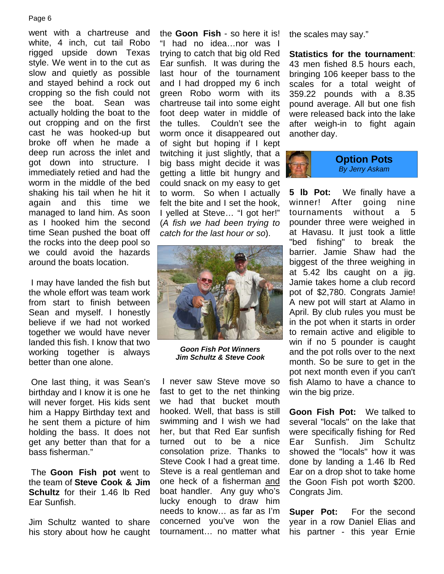went with a chartreuse and white, 4 inch, cut tail Robo rigged upside down Texas style. We went in to the cut as slow and quietly as possible and stayed behind a rock out cropping so the fish could not see the boat. Sean was actually holding the boat to the out cropping and on the first cast he was hooked-up but broke off when he made a deep run across the inlet and got down into structure. I immediately retied and had the worm in the middle of the bed shaking his tail when he hit it again and this time we managed to land him. As soon as I hooked him the second time Sean pushed the boat off the rocks into the deep pool so we could avoid the hazards around the boats location.

 I may have landed the fish but the whole effort was team work from start to finish between Sean and myself. I honestly believe if we had not worked together we would have never landed this fish. I know that two working together is always better than one alone.

 One last thing, it was Sean's birthday and I know it is one he will never forget. His kids sent him a Happy Birthday text and he sent them a picture of him holding the bass. It does not get any better than that for a bass fisherman."

 The **Goon Fish pot** went to the team of **Steve Cook & Jim Schultz** for their 1.46 lb Red Ear Sunfish.

Jim Schultz wanted to share his story about how he caught the **Goon Fish** - so here it is! "I had no idea…nor was I trying to catch that big old Red Ear sunfish. It was during the last hour of the tournament and I had dropped my 6 inch green Robo worm with its chartreuse tail into some eight foot deep water in middle of the tulles. Couldn't see the worm once it disappeared out of sight but hoping if I kept twitching it just slightly, that a big bass might decide it was getting a little bit hungry and could snack on my easy to get to worm. So when I actually felt the bite and I set the hook, I yelled at Steve… "I got her!" (*A fish we had been trying to catch for the last hour or so*).



*Goon Fish Pot Winners Jim Schultz & Steve Cook*

 I never saw Steve move so fast to get to the net thinking we had that bucket mouth hooked. Well, that bass is still swimming and I wish we had her, but that Red Ear sunfish turned out to be a nice consolation prize. Thanks to Steve Cook I had a great time. Steve is a real gentleman and one heck of a fisherman and boat handler. Any guy who's lucky enough to draw him needs to know… as far as I'm concerned you've won the tournament… no matter what

the scales may say."

**Statistics for the tournament**: 43 men fished 8.5 hours each, bringing 106 keeper bass to the scales for a total weight of 359.22 pounds with a 8.35 pound average. All but one fish were released back into the lake after weigh-in to fight again another day.



**5 lb Pot:** We finally have a winner! After going nine tournaments without a 5 pounder three were weighed in at Havasu. It just took a little "bed fishing" to break the barrier. Jamie Shaw had the biggest of the three weighing in at 5.42 lbs caught on a jig. Jamie takes home a club record pot of \$2,780. Congrats Jamie! A new pot will start at Alamo in April. By club rules you must be in the pot when it starts in order to remain active and eligible to win if no 5 pounder is caught and the pot rolls over to the next month. So be sure to get in the pot next month even if you can't fish Alamo to have a chance to win the big prize.

**Goon Fish Pot:** We talked to several "locals" on the lake that were specifically fishing for Red Ear Sunfish. Jim Schultz showed the "locals" how it was done by landing a 1.46 lb Red Ear on a drop shot to take home the Goon Fish pot worth \$200. Congrats Jim.

**Super Pot:** For the second year in a row Daniel Elias and his partner - this year Ernie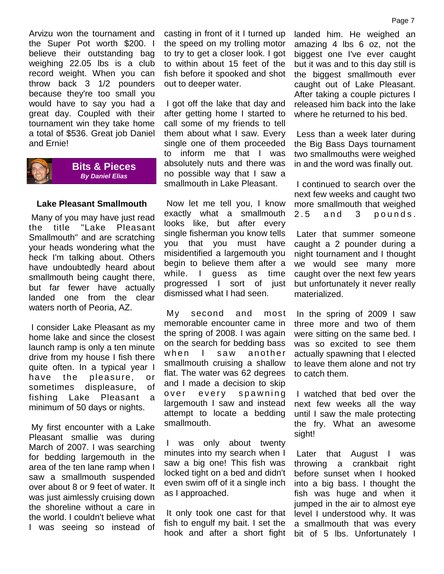Arvizu won the tournament and the Super Pot worth \$200. I believe their outstanding bag weighing 22.05 lbs is a club record weight. When you can throw back 3 1/2 pounders because they're too small you would have to say you had a great day. Coupled with their tournament win they take home a total of \$536. Great job Daniel and Ernie!



### **Bits & Pieces**  *By Daniel Elias*

## **Lake Pleasant Smallmouth**

 Many of you may have just read the title "Lake Pleasant Smallmouth" and are scratching your heads wondering what the heck I'm talking about. Others have undoubtedly heard about smallmouth being caught there, but far fewer have actually landed one from the clear waters north of Peoria, AZ.

 I consider Lake Pleasant as my home lake and since the closest launch ramp is only a ten minute drive from my house I fish there quite often. In a typical year I have the pleasure, or sometimes displeasure, of fishing Lake Pleasant a minimum of 50 days or nights.

 My first encounter with a Lake Pleasant smallie was during March of 2007. I was searching for bedding largemouth in the area of the ten lane ramp when I saw a smallmouth suspended over about 8 or 9 feet of water. It was just aimlessly cruising down the shoreline without a care in the world. I couldn't believe what I was seeing so instead of casting in front of it I turned up the speed on my trolling motor to try to get a closer look. I got to within about 15 feet of the fish before it spooked and shot out to deeper water.

 I got off the lake that day and after getting home I started to call some of my friends to tell them about what I saw. Every single one of them proceeded to inform me that I was absolutely nuts and there was no possible way that I saw a smallmouth in Lake Pleasant.

 Now let me tell you, I know exactly what a smallmouth looks like, but after every single fisherman you know tells you that you must have misidentified a largemouth you begin to believe them after a while. I guess as time progressed I sort of just dismissed what I had seen.

 My second and most memorable encounter came in the spring of 2008. I was again on the search for bedding bass when I saw another smallmouth cruising a shallow flat. The water was 62 degrees and I made a decision to skip over every spawning largemouth I saw and instead attempt to locate a bedding smallmouth.

 I was only about twenty minutes into my search when I saw a big one! This fish was locked tight on a bed and didn't even swim off of it a single inch as I approached.

 It only took one cast for that fish to engulf my bait. I set the hook and after a short fight landed him. He weighed an amazing 4 lbs 6 oz, not the biggest one I've ever caught but it was and to this day still is the biggest smallmouth ever caught out of Lake Pleasant. After taking a couple pictures I released him back into the lake where he returned to his bed.

 Less than a week later during the Big Bass Days tournament two smallmouths were weighed in and the word was finally out.

 I continued to search over the next few weeks and caught two more smallmouth that weighed  $2.5$  and 3 pounds.

 Later that summer someone caught a 2 pounder during a night tournament and I thought we would see many more caught over the next few years but unfortunately it never really materialized.

 In the spring of 2009 I saw three more and two of them were sitting on the same bed. I was so excited to see them actually spawning that I elected to leave them alone and not try to catch them.

 I watched that bed over the next few weeks all the way until I saw the male protecting the fry. What an awesome sight!

 Later that August I was throwing a crankbait right before sunset when I hooked into a big bass. I thought the fish was huge and when it jumped in the air to almost eye level I understood why. It was a smallmouth that was every bit of 5 lbs. Unfortunately I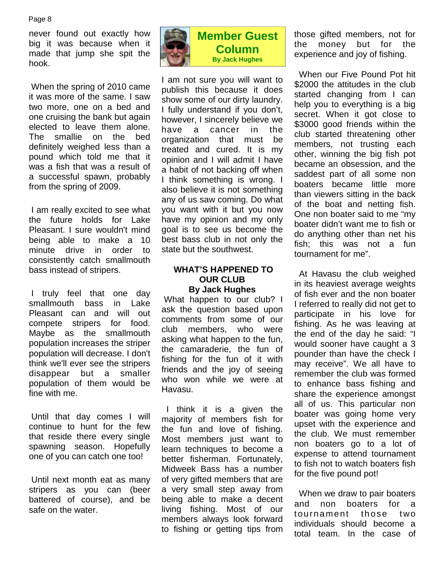never found out exactly how big it was because when it made that jump she spit the hook.

 When the spring of 2010 came it was more of the same. I saw two more, one on a bed and one cruising the bank but again elected to leave them alone. The smallie on the bed definitely weighed less than a pound which told me that it was a fish that was a result of a successful spawn, probably from the spring of 2009.

 I am really excited to see what the future holds for Lake Pleasant. I sure wouldn't mind being able to make a 10 minute drive in order to consistently catch smallmouth bass instead of stripers.

 I truly feel that one day smallmouth bass in Lake Pleasant can and will out compete stripers for food. Maybe as the smallmouth population increases the striper population will decrease. I don't think we'll ever see the stripers disappear but a smaller population of them would be fine with me.

 Until that day comes I will continue to hunt for the few that reside there every single spawning season. Hopefully one of you can catch one too!

 Until next month eat as many stripers as you can (beer battered of course), and be safe on the water.



# **Member Guest Column By Jack Hughes**

I am not sure you will want to publish this because it does show some of our dirty laundry. I fully understand if you don't, however, I sincerely believe we have a cancer in the organization that must be treated and cured. It is my opinion and I will admit I have a habit of not backing off when I think something is wrong. I also believe it is not something any of us saw coming. Do what you want with it but you now have my opinion and my only goal is to see us become the best bass club in not only the state but the southwest.

# **WHAT'S HAPPENED TO OUR CLUB By Jack Hughes**

 What happen to our club? I ask the question based upon comments from some of our club members, who were asking what happen to the fun, the camaraderie, the fun of fishing for the fun of it with friends and the joy of seeing who won while we were at Havasu.

 I think it is a given the majority of members fish for the fun and love of fishing. Most members just want to learn techniques to become a better fisherman. Fortunately, Midweek Bass has a number of very gifted members that are a very small step away from being able to make a decent living fishing. Most of our members always look forward to fishing or getting tips from those gifted members, not for the money but for the experience and joy of fishing.

 When our Five Pound Pot hit \$2000 the attitudes in the club started changing from I can help you to everything is a big secret. When it got close to \$3000 good friends within the club started threatening other members, not trusting each other, winning the big fish pot became an obsession, and the saddest part of all some non boaters became little more than viewers sitting in the back of the boat and netting fish. One non boater said to me "my boater didn't want me to fish or do anything other than net his fish; this was not a fun tournament for me".

 At Havasu the club weighed in its heaviest average weights of fish ever and the non boater I referred to really did not get to participate in his love for fishing. As he was leaving at the end of the day he said: "I would sooner have caught a 3 pounder than have the check I may receive". We all have to remember the club was formed to enhance bass fishing and share the experience amongst all of us. This particular non boater was going home very upset with the experience and the club. We must remember non boaters go to a lot of expense to attend tournament to fish not to watch boaters fish for the five pound pot!

 When we draw to pair boaters and non boaters for a tournament those two individuals should become a total team. In the case of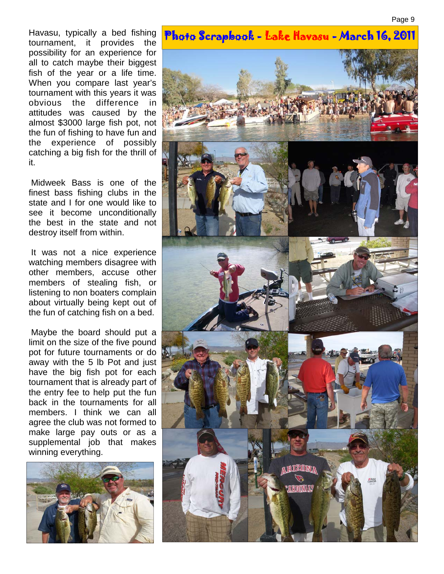tournament, it provides the possibility for an experience for all to catch maybe their biggest fish of the year or a life time. When you compare last year's tournament with this years it was obvious the difference in attitudes was caused by the almost \$3000 large fish pot, not the fun of fishing to have fun and the experience of possibly catching a big fish for the thrill of it.

 Midweek Bass is one of the finest bass fishing clubs in the state and I for one would like to see it become unconditionally the best in the state and not destroy itself from within.

 It was not a nice experience watching members disagree with other members, accuse other members of stealing fish, or listening to non boaters complain about virtually being kept out of the fun of catching fish on a bed.

 Maybe the board should put a limit on the size of the five pound pot for future tournaments or do away with the 5 lb Pot and just have the big fish pot for each tournament that is already part of the entry fee to help put the fun back in the tournaments for all members. I think we can all agree the club was not formed to make large pay outs or as a supplemental job that makes winning everything.



# Havasu, typically a bed fishing **Photo Scrapbook - Lake Havasu - March 16, 2011**